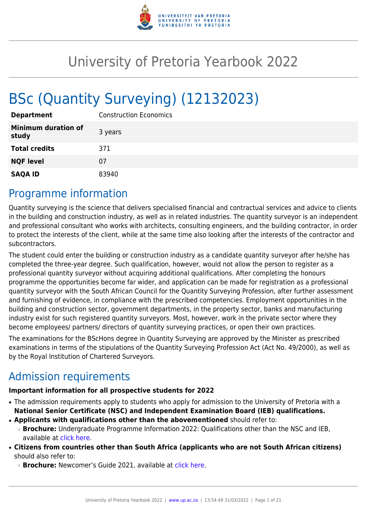

# University of Pretoria Yearbook 2022

# BSc (Quantity Surveying) (12132023)

| <b>Department</b>                   | <b>Construction Economics</b> |
|-------------------------------------|-------------------------------|
| <b>Minimum duration of</b><br>study | 3 years                       |
| <b>Total credits</b>                | 371                           |
| <b>NQF level</b>                    | 07                            |
| <b>SAQA ID</b>                      | 83940                         |

# Programme information

Quantity surveying is the science that delivers specialised financial and contractual services and advice to clients in the building and construction industry, as well as in related industries. The quantity surveyor is an independent and professional consultant who works with architects, consulting engineers, and the building contractor, in order to protect the interests of the client, while at the same time also looking after the interests of the contractor and subcontractors.

The student could enter the building or construction industry as a candidate quantity surveyor after he/she has completed the three-year degree. Such qualification, however, would not allow the person to register as a professional quantity surveyor without acquiring additional qualifications. After completing the honours programme the opportunities become far wider, and application can be made for registration as a professional quantity surveyor with the South African Council for the Quantity Surveying Profession, after further assessment and furnishing of evidence, in compliance with the prescribed competencies. Employment opportunities in the building and construction sector, government departments, in the property sector, banks and manufacturing industry exist for such registered quantity surveyors. Most, however, work in the private sector where they become employees/ partners/ directors of quantity surveying practices, or open their own practices.

The examinations for the BScHons degree in Quantity Surveying are approved by the Minister as prescribed examinations in terms of the stipulations of the Quantity Surveying Profession Act (Act No. 49/2000), as well as by the Royal Institution of Chartered Surveyors.

# Admission requirements

# **Important information for all prospective students for 2022**

- The admission requirements apply to students who apply for admission to the University of Pretoria with a **National Senior Certificate (NSC) and Independent Examination Board (IEB) qualifications.**
- **Applicants with qualifications other than the abovementioned** should refer to: ❍ **Brochure:** Undergraduate Programme Information 2022: Qualifications other than the NSC and IEB, available at [click here.](https://www.up.ac.za/students/article/2749263/admission-information)
- **Citizens from countries other than South Africa (applicants who are not South African citizens)** should also refer to:
	- ❍ **Brochure:** Newcomer's Guide 2021, available at [click here.](https://www.up.ac.za/students/article/2749263/admission-information)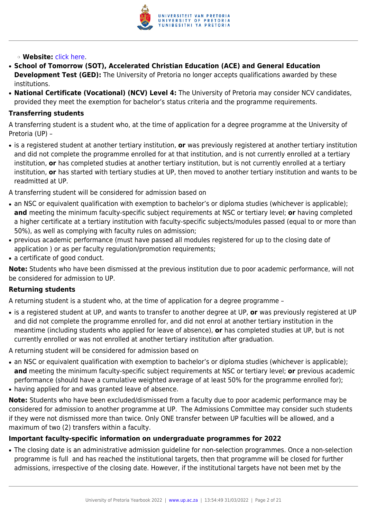

### ❍ **Website:** [click here](http://www.up.ac.za/international-cooperation-division).

- **School of Tomorrow (SOT), Accelerated Christian Education (ACE) and General Education Development Test (GED):** The University of Pretoria no longer accepts qualifications awarded by these institutions.
- **National Certificate (Vocational) (NCV) Level 4:** The University of Pretoria may consider NCV candidates, provided they meet the exemption for bachelor's status criteria and the programme requirements.

#### **Transferring students**

A transferring student is a student who, at the time of application for a degree programme at the University of Pretoria (UP) –

● is a registered student at another tertiary institution, **or** was previously registered at another tertiary institution and did not complete the programme enrolled for at that institution, and is not currently enrolled at a tertiary institution, **or** has completed studies at another tertiary institution, but is not currently enrolled at a tertiary institution, **or** has started with tertiary studies at UP, then moved to another tertiary institution and wants to be readmitted at UP.

A transferring student will be considered for admission based on

- an NSC or equivalent qualification with exemption to bachelor's or diploma studies (whichever is applicable); **and** meeting the minimum faculty-specific subject requirements at NSC or tertiary level; **or** having completed a higher certificate at a tertiary institution with faculty-specific subjects/modules passed (equal to or more than 50%), as well as complying with faculty rules on admission;
- previous academic performance (must have passed all modules registered for up to the closing date of application ) or as per faculty regulation/promotion requirements;
- a certificate of good conduct.

**Note:** Students who have been dismissed at the previous institution due to poor academic performance, will not be considered for admission to UP.

#### **Returning students**

A returning student is a student who, at the time of application for a degree programme –

● is a registered student at UP, and wants to transfer to another degree at UP, **or** was previously registered at UP and did not complete the programme enrolled for, and did not enrol at another tertiary institution in the meantime (including students who applied for leave of absence), **or** has completed studies at UP, but is not currently enrolled or was not enrolled at another tertiary institution after graduation.

A returning student will be considered for admission based on

- an NSC or equivalent qualification with exemption to bachelor's or diploma studies (whichever is applicable); **and** meeting the minimum faculty-specific subject requirements at NSC or tertiary level; **or** previous academic performance (should have a cumulative weighted average of at least 50% for the programme enrolled for);
- having applied for and was granted leave of absence.

**Note:** Students who have been excluded/dismissed from a faculty due to poor academic performance may be considered for admission to another programme at UP. The Admissions Committee may consider such students if they were not dismissed more than twice. Only ONE transfer between UP faculties will be allowed, and a maximum of two (2) transfers within a faculty.

#### **Important faculty-specific information on undergraduate programmes for 2022**

• The closing date is an administrative admission guideline for non-selection programmes. Once a non-selection programme is full and has reached the institutional targets, then that programme will be closed for further admissions, irrespective of the closing date. However, if the institutional targets have not been met by the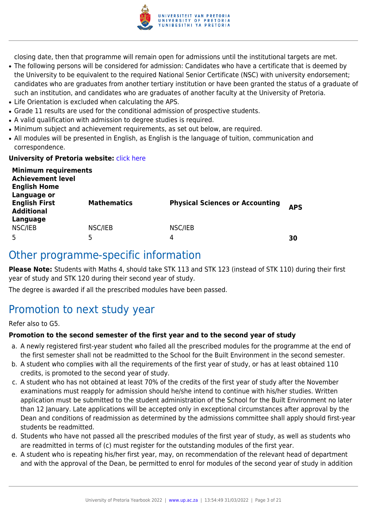

closing date, then that programme will remain open for admissions until the institutional targets are met.

- The following persons will be considered for admission: Candidates who have a certificate that is deemed by the University to be equivalent to the required National Senior Certificate (NSC) with university endorsement; candidates who are graduates from another tertiary institution or have been granted the status of a graduate of such an institution, and candidates who are graduates of another faculty at the University of Pretoria.
- Life Orientation is excluded when calculating the APS.
- Grade 11 results are used for the conditional admission of prospective students.
- A valid qualification with admission to degree studies is required.
- Minimum subject and achievement requirements, as set out below, are required.
- All modules will be presented in English, as English is the language of tuition, communication and correspondence.

#### **University of Pretoria website: [click here](http://www.up.ac.za/ebit)**

| <b>Minimum requirements</b><br><b>Achievement level</b><br><b>English Home</b><br>Language or |                    |                                        |            |
|-----------------------------------------------------------------------------------------------|--------------------|----------------------------------------|------------|
| <b>English First</b><br><b>Additional</b><br>Language                                         | <b>Mathematics</b> | <b>Physical Sciences or Accounting</b> | <b>APS</b> |
| NSC/IEB<br>5                                                                                  | NSC/IEB<br>5       | NSC/IEB<br>4                           | 30         |

# Other programme-specific information

**Please Note:** Students with Maths 4, should take STK 113 and STK 123 (instead of STK 110) during their first year of study and STK 120 during their second year of study.

The degree is awarded if all the prescribed modules have been passed.

# Promotion to next study year

Refer also to G5.

#### **Promotion to the second semester of the first year and to the second year of study**

- a. A newly registered first-year student who failed all the prescribed modules for the programme at the end of the first semester shall not be readmitted to the School for the Built Environment in the second semester.
- b. A student who complies with all the requirements of the first year of study, or has at least obtained 110 credits, is promoted to the second year of study.
- c. A student who has not obtained at least 70% of the credits of the first year of study after the November examinations must reapply for admission should he/she intend to continue with his/her studies. Written application must be submitted to the student administration of the School for the Built Environment no later than 12 January. Late applications will be accepted only in exceptional circumstances after approval by the Dean and conditions of readmission as determined by the admissions committee shall apply should first-year students be readmitted.
- d. Students who have not passed all the prescribed modules of the first year of study, as well as students who are readmitted in terms of (c) must register for the outstanding modules of the first year.
- e. A student who is repeating his/her first year, may, on recommendation of the relevant head of department and with the approval of the Dean, be permitted to enrol for modules of the second year of study in addition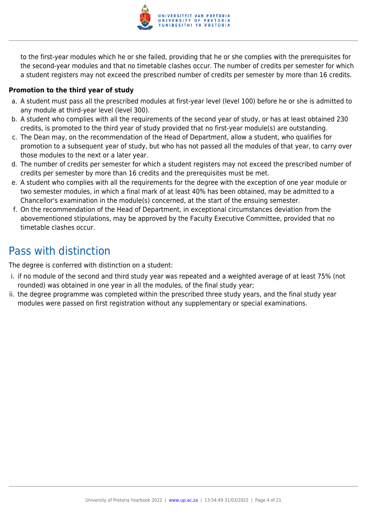

to the first-year modules which he or she failed, providing that he or she complies with the prerequisites for the second-year modules and that no timetable clashes occur. The number of credits per semester for which a student registers may not exceed the prescribed number of credits per semester by more than 16 credits.

# **Promotion to the third year of study**

- a. A student must pass all the prescribed modules at first-year level (level 100) before he or she is admitted to any module at third-year level (level 300).
- b. A student who complies with all the requirements of the second year of study, or has at least obtained 230 credits, is promoted to the third year of study provided that no first-year module(s) are outstanding.
- c. The Dean may, on the recommendation of the Head of Department, allow a student, who qualifies for promotion to a subsequent year of study, but who has not passed all the modules of that year, to carry over those modules to the next or a later year.
- d. The number of credits per semester for which a student registers may not exceed the prescribed number of credits per semester by more than 16 credits and the prerequisites must be met.
- e. A student who complies with all the requirements for the degree with the exception of one year module or two semester modules, in which a final mark of at least 40% has been obtained, may be admitted to a Chancellor's examination in the module(s) concerned, at the start of the ensuing semester.
- f. On the recommendation of the Head of Department, in exceptional circumstances deviation from the abovementioned stipulations, may be approved by the Faculty Executive Committee, provided that no timetable clashes occur.

# Pass with distinction

The degree is conferred with distinction on a student:

- i. if no module of the second and third study year was repeated and a weighted average of at least 75% (not rounded) was obtained in one year in all the modules, of the final study year;
- ii. the degree programme was completed within the prescribed three study years, and the final study year modules were passed on first registration without any supplementary or special examinations.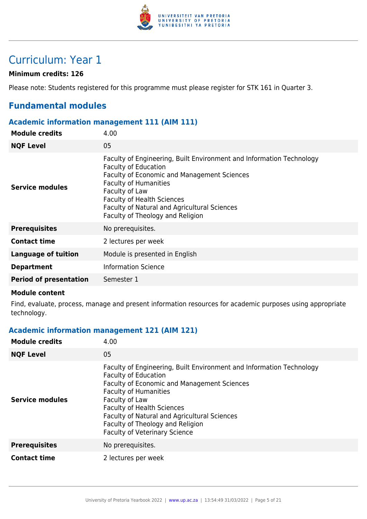

# Curriculum: Year 1

# **Minimum credits: 126**

Please note: Students registered for this programme must please register for STK 161 in Quarter 3.

# **Fundamental modules**

#### **Academic information management 111 (AIM 111)**

| <b>Module credits</b>         | 4.00                                                                                                                                                                                                                                                                                                                          |
|-------------------------------|-------------------------------------------------------------------------------------------------------------------------------------------------------------------------------------------------------------------------------------------------------------------------------------------------------------------------------|
| <b>NQF Level</b>              | 05                                                                                                                                                                                                                                                                                                                            |
| Service modules               | Faculty of Engineering, Built Environment and Information Technology<br><b>Faculty of Education</b><br>Faculty of Economic and Management Sciences<br><b>Faculty of Humanities</b><br>Faculty of Law<br><b>Faculty of Health Sciences</b><br>Faculty of Natural and Agricultural Sciences<br>Faculty of Theology and Religion |
| <b>Prerequisites</b>          | No prerequisites.                                                                                                                                                                                                                                                                                                             |
| <b>Contact time</b>           | 2 lectures per week                                                                                                                                                                                                                                                                                                           |
| Language of tuition           | Module is presented in English                                                                                                                                                                                                                                                                                                |
| <b>Department</b>             | <b>Information Science</b>                                                                                                                                                                                                                                                                                                    |
| <b>Period of presentation</b> | Semester 1                                                                                                                                                                                                                                                                                                                    |

#### **Module content**

Find, evaluate, process, manage and present information resources for academic purposes using appropriate technology.

# **Academic information management 121 (AIM 121)**

| <b>Module credits</b>  | 4.00                                                                                                                                                                                                                                                                                                                                                                  |
|------------------------|-----------------------------------------------------------------------------------------------------------------------------------------------------------------------------------------------------------------------------------------------------------------------------------------------------------------------------------------------------------------------|
| <b>NQF Level</b>       | 05                                                                                                                                                                                                                                                                                                                                                                    |
| <b>Service modules</b> | Faculty of Engineering, Built Environment and Information Technology<br><b>Faculty of Education</b><br>Faculty of Economic and Management Sciences<br><b>Faculty of Humanities</b><br>Faculty of Law<br><b>Faculty of Health Sciences</b><br>Faculty of Natural and Agricultural Sciences<br>Faculty of Theology and Religion<br><b>Faculty of Veterinary Science</b> |
| <b>Prerequisites</b>   | No prerequisites.                                                                                                                                                                                                                                                                                                                                                     |
| <b>Contact time</b>    | 2 lectures per week                                                                                                                                                                                                                                                                                                                                                   |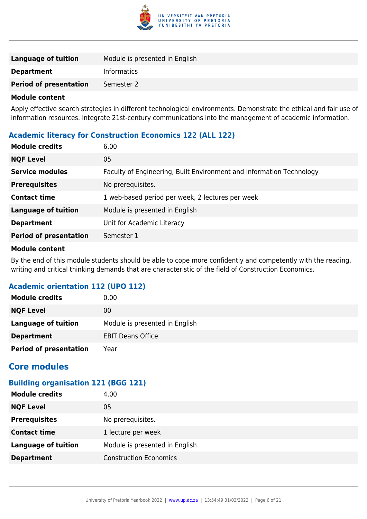

| <b>Language of tuition</b>    | Module is presented in English |
|-------------------------------|--------------------------------|
| <b>Department</b>             | <b>Informatics</b>             |
| <b>Period of presentation</b> | Semester 2                     |

Apply effective search strategies in different technological environments. Demonstrate the ethical and fair use of information resources. Integrate 21st-century communications into the management of academic information.

# **Academic literacy for Construction Economics 122 (ALL 122)**

| <b>Module credits</b>         | 6.00                                                                 |
|-------------------------------|----------------------------------------------------------------------|
| <b>NQF Level</b>              | 05                                                                   |
| <b>Service modules</b>        | Faculty of Engineering, Built Environment and Information Technology |
| <b>Prerequisites</b>          | No prerequisites.                                                    |
| <b>Contact time</b>           | 1 web-based period per week, 2 lectures per week                     |
| <b>Language of tuition</b>    | Module is presented in English                                       |
| <b>Department</b>             | Unit for Academic Literacy                                           |
| <b>Period of presentation</b> | Semester 1                                                           |

#### **Module content**

By the end of this module students should be able to cope more confidently and competently with the reading, writing and critical thinking demands that are characteristic of the field of Construction Economics.

# **Academic orientation 112 (UPO 112)**

| <b>Module credits</b>         | 0.00                           |
|-------------------------------|--------------------------------|
| <b>NQF Level</b>              | 00                             |
| <b>Language of tuition</b>    | Module is presented in English |
| <b>Department</b>             | <b>EBIT Deans Office</b>       |
| <b>Period of presentation</b> | Year                           |

# **Core modules**

# **Building organisation 121 (BGG 121)**

| <b>Module credits</b>      | 4.00                           |
|----------------------------|--------------------------------|
| <b>NQF Level</b>           | 05                             |
| <b>Prerequisites</b>       | No prerequisites.              |
| <b>Contact time</b>        | 1 lecture per week             |
| <b>Language of tuition</b> | Module is presented in English |
| <b>Department</b>          | <b>Construction Economics</b>  |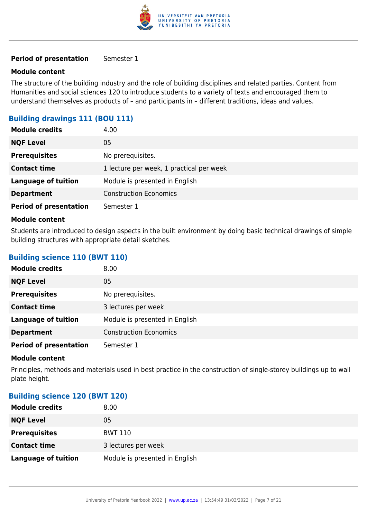

#### **Module content**

The structure of the building industry and the role of building disciplines and related parties. Content from Humanities and social sciences 120 to introduce students to a variety of texts and encouraged them to understand themselves as products of – and participants in – different traditions, ideas and values.

# **Building drawings 111 (BOU 111)**

| <b>Module credits</b>         | 4.00                                     |
|-------------------------------|------------------------------------------|
| <b>NQF Level</b>              | 05                                       |
| <b>Prerequisites</b>          | No prerequisites.                        |
| <b>Contact time</b>           | 1 lecture per week, 1 practical per week |
| <b>Language of tuition</b>    | Module is presented in English           |
| <b>Department</b>             | <b>Construction Economics</b>            |
| <b>Period of presentation</b> | Semester 1                               |

#### **Module content**

Students are introduced to design aspects in the built environment by doing basic technical drawings of simple building structures with appropriate detail sketches.

### **Building science 110 (BWT 110)**

| <b>Module credits</b>         | 8.00                           |
|-------------------------------|--------------------------------|
| <b>NQF Level</b>              | 05                             |
| <b>Prerequisites</b>          | No prerequisites.              |
| <b>Contact time</b>           | 3 lectures per week            |
| <b>Language of tuition</b>    | Module is presented in English |
| <b>Department</b>             | <b>Construction Economics</b>  |
| <b>Period of presentation</b> | Semester 1                     |

#### **Module content**

Principles, methods and materials used in best practice in the construction of single-storey buildings up to wall plate height.

#### **Building science 120 (BWT 120)**

| <b>Module credits</b>      | 8.00                           |
|----------------------------|--------------------------------|
| <b>NQF Level</b>           | 05                             |
| <b>Prerequisites</b>       | BWT 110                        |
| <b>Contact time</b>        | 3 lectures per week            |
| <b>Language of tuition</b> | Module is presented in English |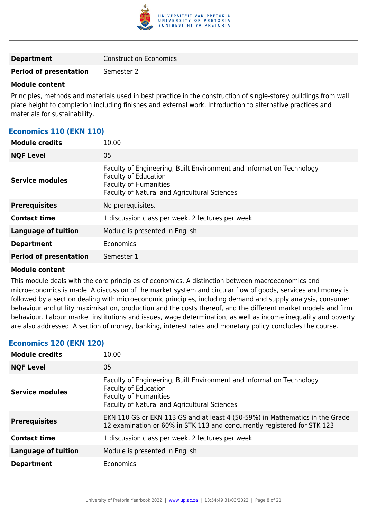

#### **Module content**

Principles, methods and materials used in best practice in the construction of single-storey buildings from wall plate height to completion including finishes and external work. Introduction to alternative practices and materials for sustainability.

# **Economics 110 (EKN 110)**

| <b>Module credits</b>         | 10.00                                                                                                                                                                               |
|-------------------------------|-------------------------------------------------------------------------------------------------------------------------------------------------------------------------------------|
| <b>NQF Level</b>              | 05                                                                                                                                                                                  |
| <b>Service modules</b>        | Faculty of Engineering, Built Environment and Information Technology<br><b>Faculty of Education</b><br><b>Faculty of Humanities</b><br>Faculty of Natural and Agricultural Sciences |
| <b>Prerequisites</b>          | No prerequisites.                                                                                                                                                                   |
| <b>Contact time</b>           | 1 discussion class per week, 2 lectures per week                                                                                                                                    |
| <b>Language of tuition</b>    | Module is presented in English                                                                                                                                                      |
| <b>Department</b>             | Economics                                                                                                                                                                           |
| <b>Period of presentation</b> | Semester 1                                                                                                                                                                          |
|                               |                                                                                                                                                                                     |

#### **Module content**

This module deals with the core principles of economics. A distinction between macroeconomics and microeconomics is made. A discussion of the market system and circular flow of goods, services and money is followed by a section dealing with microeconomic principles, including demand and supply analysis, consumer behaviour and utility maximisation, production and the costs thereof, and the different market models and firm behaviour. Labour market institutions and issues, wage determination, as well as income inequality and poverty are also addressed. A section of money, banking, interest rates and monetary policy concludes the course.

#### **Economics 120 (EKN 120)**

| <b>Module credits</b> | 10.00                                                                                                                                                                                      |
|-----------------------|--------------------------------------------------------------------------------------------------------------------------------------------------------------------------------------------|
| <b>NQF Level</b>      | 05                                                                                                                                                                                         |
| Service modules       | Faculty of Engineering, Built Environment and Information Technology<br><b>Faculty of Education</b><br><b>Faculty of Humanities</b><br><b>Faculty of Natural and Agricultural Sciences</b> |
| <b>Prerequisites</b>  | EKN 110 GS or EKN 113 GS and at least 4 (50-59%) in Mathematics in the Grade<br>12 examination or 60% in STK 113 and concurrently registered for STK 123                                   |
| <b>Contact time</b>   | 1 discussion class per week, 2 lectures per week                                                                                                                                           |
| Language of tuition   | Module is presented in English                                                                                                                                                             |
| <b>Department</b>     | Economics                                                                                                                                                                                  |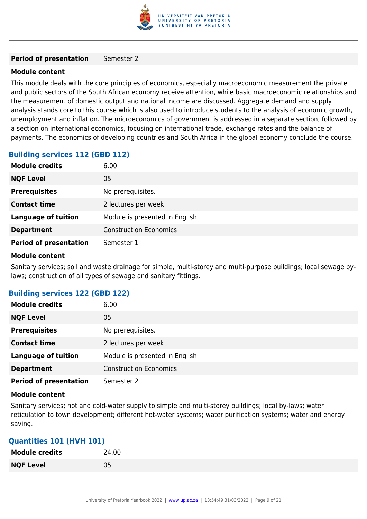

#### **Module content**

This module deals with the core principles of economics, especially macroeconomic measurement the private and public sectors of the South African economy receive attention, while basic macroeconomic relationships and the measurement of domestic output and national income are discussed. Aggregate demand and supply analysis stands core to this course which is also used to introduce students to the analysis of economic growth, unemployment and inflation. The microeconomics of government is addressed in a separate section, followed by a section on international economics, focusing on international trade, exchange rates and the balance of payments. The economics of developing countries and South Africa in the global economy conclude the course.

### **Building services 112 (GBD 112)**

| <b>Module credits</b>         | 6.00                           |
|-------------------------------|--------------------------------|
| <b>NQF Level</b>              | 05                             |
| <b>Prerequisites</b>          | No prerequisites.              |
| <b>Contact time</b>           | 2 lectures per week            |
| <b>Language of tuition</b>    | Module is presented in English |
| <b>Department</b>             | <b>Construction Economics</b>  |
| <b>Period of presentation</b> | Semester 1                     |

#### **Module content**

Sanitary services; soil and waste drainage for simple, multi-storey and multi-purpose buildings; local sewage bylaws; construction of all types of sewage and sanitary fittings.

#### **Building services 122 (GBD 122)**

| <b>Module credits</b>         | 6.00                           |
|-------------------------------|--------------------------------|
| <b>NQF Level</b>              | 05                             |
| <b>Prerequisites</b>          | No prerequisites.              |
| <b>Contact time</b>           | 2 lectures per week            |
| <b>Language of tuition</b>    | Module is presented in English |
| <b>Department</b>             | <b>Construction Economics</b>  |
| <b>Period of presentation</b> | Semester 2                     |

#### **Module content**

Sanitary services; hot and cold-water supply to simple and multi-storey buildings; local by-laws; water reticulation to town development; different hot-water systems; water purification systems; water and energy saving.

#### **Quantities 101 (HVH 101)**

| <b>Module credits</b> | 24.00 |
|-----------------------|-------|
| <b>NQF Level</b>      | 05    |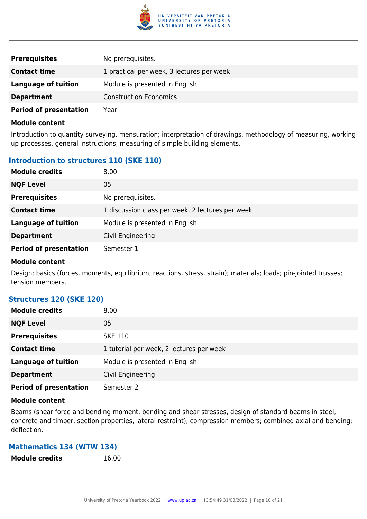

| <b>Prerequisites</b>          | No prerequisites.                         |
|-------------------------------|-------------------------------------------|
| <b>Contact time</b>           | 1 practical per week, 3 lectures per week |
| Language of tuition           | Module is presented in English            |
| <b>Department</b>             | <b>Construction Economics</b>             |
| <b>Period of presentation</b> | Year                                      |

Introduction to quantity surveying, mensuration; interpretation of drawings, methodology of measuring, working up processes, general instructions, measuring of simple building elements.

# **Introduction to structures 110 (SKE 110)**

| <b>Module credits</b>         | 8.00                                             |
|-------------------------------|--------------------------------------------------|
| <b>NQF Level</b>              | 05                                               |
| <b>Prerequisites</b>          | No prerequisites.                                |
| <b>Contact time</b>           | 1 discussion class per week, 2 lectures per week |
| <b>Language of tuition</b>    | Module is presented in English                   |
| <b>Department</b>             | Civil Engineering                                |
| <b>Period of presentation</b> | Semester 1                                       |

#### **Module content**

Design; basics (forces, moments, equilibrium, reactions, stress, strain); materials; loads; pin-jointed trusses; tension members.

#### **Structures 120 (SKE 120)**

| <b>Module credits</b>         | 8.00                                     |
|-------------------------------|------------------------------------------|
| <b>NQF Level</b>              | 05                                       |
| <b>Prerequisites</b>          | <b>SKE 110</b>                           |
| <b>Contact time</b>           | 1 tutorial per week, 2 lectures per week |
| <b>Language of tuition</b>    | Module is presented in English           |
| <b>Department</b>             | Civil Engineering                        |
| <b>Period of presentation</b> | Semester 2                               |

#### **Module content**

Beams (shear force and bending moment, bending and shear stresses, design of standard beams in steel, concrete and timber, section properties, lateral restraint); compression members; combined axial and bending; deflection.

#### **Mathematics 134 (WTW 134)**

**Module credits** 16.00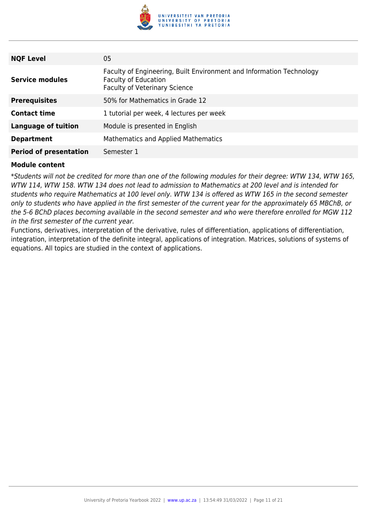

| <b>NQF Level</b>              | 05                                                                                                                                          |
|-------------------------------|---------------------------------------------------------------------------------------------------------------------------------------------|
| <b>Service modules</b>        | Faculty of Engineering, Built Environment and Information Technology<br><b>Faculty of Education</b><br><b>Faculty of Veterinary Science</b> |
| <b>Prerequisites</b>          | 50% for Mathematics in Grade 12                                                                                                             |
| <b>Contact time</b>           | 1 tutorial per week, 4 lectures per week                                                                                                    |
| Language of tuition           | Module is presented in English                                                                                                              |
| <b>Department</b>             | Mathematics and Applied Mathematics                                                                                                         |
| <b>Period of presentation</b> | Semester 1                                                                                                                                  |

\*Students will not be credited for more than one of the following modules for their degree: WTW 134, WTW 165, WTW 114, WTW 158. WTW 134 does not lead to admission to Mathematics at 200 level and is intended for students who require Mathematics at 100 level only. WTW 134 is offered as WTW 165 in the second semester only to students who have applied in the first semester of the current year for the approximately 65 MBChB, or the 5-6 BChD places becoming available in the second semester and who were therefore enrolled for MGW 112 in the first semester of the current year.

Functions, derivatives, interpretation of the derivative, rules of differentiation, applications of differentiation, integration, interpretation of the definite integral, applications of integration. Matrices, solutions of systems of equations. All topics are studied in the context of applications.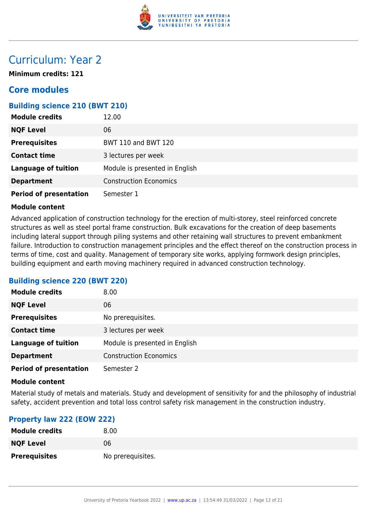

# Curriculum: Year 2

**Minimum credits: 121**

# **Core modules**

# **Building science 210 (BWT 210)**

| <b>Module credits</b>         | 12.00                          |
|-------------------------------|--------------------------------|
| <b>NQF Level</b>              | 06                             |
| <b>Prerequisites</b>          | <b>BWT 110 and BWT 120</b>     |
| <b>Contact time</b>           | 3 lectures per week            |
| <b>Language of tuition</b>    | Module is presented in English |
| <b>Department</b>             | <b>Construction Economics</b>  |
| <b>Period of presentation</b> | Semester 1                     |

#### **Module content**

Advanced application of construction technology for the erection of multi-storey, steel reinforced concrete structures as well as steel portal frame construction. Bulk excavations for the creation of deep basements including lateral support through piling systems and other retaining wall structures to prevent embankment failure. Introduction to construction management principles and the effect thereof on the construction process in terms of time, cost and quality. Management of temporary site works, applying formwork design principles, building equipment and earth moving machinery required in advanced construction technology.

#### **Building science 220 (BWT 220)**

| <b>Module credits</b>         | 8.00                           |
|-------------------------------|--------------------------------|
| <b>NQF Level</b>              | 06                             |
| <b>Prerequisites</b>          | No prerequisites.              |
| <b>Contact time</b>           | 3 lectures per week            |
| <b>Language of tuition</b>    | Module is presented in English |
| <b>Department</b>             | <b>Construction Economics</b>  |
| <b>Period of presentation</b> | Semester 2                     |

#### **Module content**

Material study of metals and materials. Study and development of sensitivity for and the philosophy of industrial safety, accident prevention and total loss control safety risk management in the construction industry.

#### **Property law 222 (EOW 222)**

| <b>Module credits</b> | 8.00              |
|-----------------------|-------------------|
| <b>NQF Level</b>      | 06                |
| <b>Prerequisites</b>  | No prerequisites. |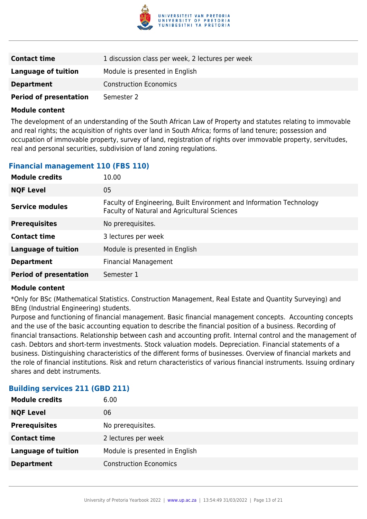

| <b>Contact time</b>           | 1 discussion class per week, 2 lectures per week |
|-------------------------------|--------------------------------------------------|
| <b>Language of tuition</b>    | Module is presented in English                   |
| <b>Department</b>             | <b>Construction Economics</b>                    |
| <b>Period of presentation</b> | Semester 2                                       |

The development of an understanding of the South African Law of Property and statutes relating to immovable and real rights; the acquisition of rights over land in South Africa; forms of land tenure; possession and occupation of immovable property, survey of land, registration of rights over immovable property, servitudes, real and personal securities, subdivision of land zoning regulations.

# **Financial management 110 (FBS 110)**

| <b>Module credits</b>         | 10.00                                                                                                                |
|-------------------------------|----------------------------------------------------------------------------------------------------------------------|
| <b>NQF Level</b>              | 05                                                                                                                   |
| <b>Service modules</b>        | Faculty of Engineering, Built Environment and Information Technology<br>Faculty of Natural and Agricultural Sciences |
| <b>Prerequisites</b>          | No prerequisites.                                                                                                    |
| <b>Contact time</b>           | 3 lectures per week                                                                                                  |
| <b>Language of tuition</b>    | Module is presented in English                                                                                       |
| <b>Department</b>             | <b>Financial Management</b>                                                                                          |
| <b>Period of presentation</b> | Semester 1                                                                                                           |

#### **Module content**

\*Only for BSc (Mathematical Statistics. Construction Management, Real Estate and Quantity Surveying) and BEng (Industrial Engineering) students.

Purpose and functioning of financial management. Basic financial management concepts. Accounting concepts and the use of the basic accounting equation to describe the financial position of a business. Recording of financial transactions. Relationship between cash and accounting profit. Internal control and the management of cash. Debtors and short-term investments. Stock valuation models. Depreciation. Financial statements of a business. Distinguishing characteristics of the different forms of businesses. Overview of financial markets and the role of financial institutions. Risk and return characteristics of various financial instruments. Issuing ordinary shares and debt instruments.

#### **Building services 211 (GBD 211)**

| <b>Module credits</b>      | 6.00                           |
|----------------------------|--------------------------------|
| <b>NQF Level</b>           | 06                             |
| <b>Prerequisites</b>       | No prerequisites.              |
| <b>Contact time</b>        | 2 lectures per week            |
| <b>Language of tuition</b> | Module is presented in English |
| <b>Department</b>          | <b>Construction Economics</b>  |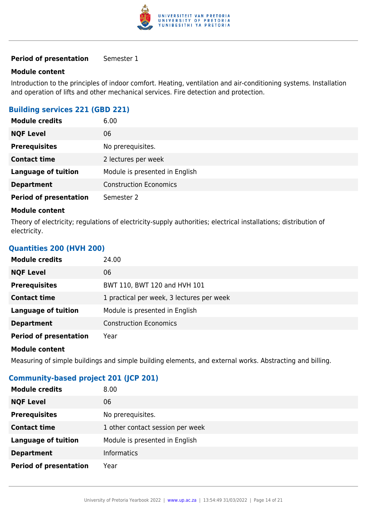

#### **Module content**

Introduction to the principles of indoor comfort. Heating, ventilation and air-conditioning systems. Installation and operation of lifts and other mechanical services. Fire detection and protection.

# **Building services 221 (GBD 221)**

| <b>Module credits</b>         | 6.00                           |
|-------------------------------|--------------------------------|
| <b>NQF Level</b>              | 06                             |
| <b>Prerequisites</b>          | No prerequisites.              |
| <b>Contact time</b>           | 2 lectures per week            |
| <b>Language of tuition</b>    | Module is presented in English |
| <b>Department</b>             | <b>Construction Economics</b>  |
| <b>Period of presentation</b> | Semester 2                     |

#### **Module content**

Theory of electricity; regulations of electricity-supply authorities; electrical installations; distribution of electricity.

### **Quantities 200 (HVH 200)**

| <b>Module credits</b>         | 24.00                                     |
|-------------------------------|-------------------------------------------|
| <b>NQF Level</b>              | 06                                        |
| <b>Prerequisites</b>          | BWT 110, BWT 120 and HVH 101              |
| <b>Contact time</b>           | 1 practical per week, 3 lectures per week |
| <b>Language of tuition</b>    | Module is presented in English            |
| <b>Department</b>             | <b>Construction Economics</b>             |
| <b>Period of presentation</b> | Year                                      |
| <b>Module content</b>         |                                           |

Measuring of simple buildings and simple building elements, and external works. Abstracting and billing.

# **Community-based project 201 (JCP 201)**

| <b>Module credits</b>         | 8.00                             |
|-------------------------------|----------------------------------|
| <b>NQF Level</b>              | 06                               |
| <b>Prerequisites</b>          | No prerequisites.                |
| <b>Contact time</b>           | 1 other contact session per week |
| <b>Language of tuition</b>    | Module is presented in English   |
| <b>Department</b>             | <b>Informatics</b>               |
| <b>Period of presentation</b> | Year                             |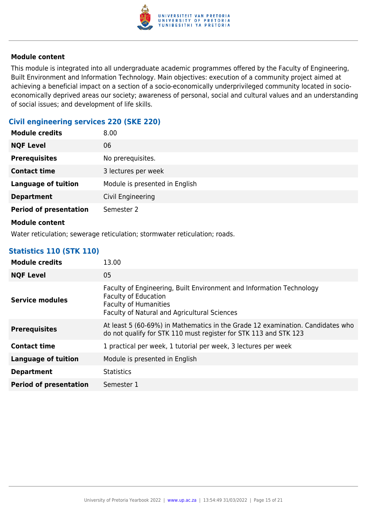

This module is integrated into all undergraduate academic programmes offered by the Faculty of Engineering, Built Environment and Information Technology. Main objectives: execution of a community project aimed at achieving a beneficial impact on a section of a socio-economically underprivileged community located in socioeconomically deprived areas our society; awareness of personal, social and cultural values and an understanding of social issues; and development of life skills.

# **Civil engineering services 220 (SKE 220)**

| <b>Module credits</b>         | 8.00                           |
|-------------------------------|--------------------------------|
| <b>NQF Level</b>              | 06                             |
| <b>Prerequisites</b>          | No prerequisites.              |
| <b>Contact time</b>           | 3 lectures per week            |
| <b>Language of tuition</b>    | Module is presented in English |
| <b>Department</b>             | Civil Engineering              |
| <b>Period of presentation</b> | Semester 2                     |
|                               |                                |

#### **Module content**

Water reticulation; sewerage reticulation; stormwater reticulation; roads.

# **Statistics 110 (STK 110)**

| <b>Module credits</b>         | 13.00                                                                                                                                                                               |
|-------------------------------|-------------------------------------------------------------------------------------------------------------------------------------------------------------------------------------|
| <b>NQF Level</b>              | 05                                                                                                                                                                                  |
| <b>Service modules</b>        | Faculty of Engineering, Built Environment and Information Technology<br><b>Faculty of Education</b><br><b>Faculty of Humanities</b><br>Faculty of Natural and Agricultural Sciences |
| <b>Prerequisites</b>          | At least 5 (60-69%) in Mathematics in the Grade 12 examination. Candidates who<br>do not qualify for STK 110 must register for STK 113 and STK 123                                  |
| <b>Contact time</b>           | 1 practical per week, 1 tutorial per week, 3 lectures per week                                                                                                                      |
| <b>Language of tuition</b>    | Module is presented in English                                                                                                                                                      |
| <b>Department</b>             | <b>Statistics</b>                                                                                                                                                                   |
| <b>Period of presentation</b> | Semester 1                                                                                                                                                                          |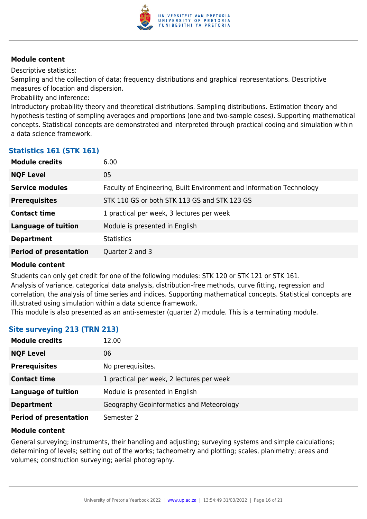

Descriptive statistics:

Sampling and the collection of data; frequency distributions and graphical representations. Descriptive measures of location and dispersion.

Probability and inference:

Introductory probability theory and theoretical distributions. Sampling distributions. Estimation theory and hypothesis testing of sampling averages and proportions (one and two-sample cases). Supporting mathematical concepts. Statistical concepts are demonstrated and interpreted through practical coding and simulation within a data science framework.

### **Statistics 161 (STK 161)**

| <b>Module credits</b>         | 6.00                                                                 |
|-------------------------------|----------------------------------------------------------------------|
| <b>NQF Level</b>              | 05                                                                   |
| <b>Service modules</b>        | Faculty of Engineering, Built Environment and Information Technology |
| <b>Prerequisites</b>          | STK 110 GS or both STK 113 GS and STK 123 GS                         |
| <b>Contact time</b>           | 1 practical per week, 3 lectures per week                            |
| <b>Language of tuition</b>    | Module is presented in English                                       |
| <b>Department</b>             | <b>Statistics</b>                                                    |
| <b>Period of presentation</b> | Quarter 2 and 3                                                      |
|                               |                                                                      |

#### **Module content**

Students can only get credit for one of the following modules: STK 120 or STK 121 or STK 161. Analysis of variance, categorical data analysis, distribution-free methods, curve fitting, regression and correlation, the analysis of time series and indices. Supporting mathematical concepts. Statistical concepts are illustrated using simulation within a data science framework.

This module is also presented as an anti-semester (quarter 2) module. This is a terminating module.

# **Site surveying 213 (TRN 213)**

| <b>Module credits</b>         | 12.00                                     |
|-------------------------------|-------------------------------------------|
| <b>NQF Level</b>              | 06                                        |
| <b>Prerequisites</b>          | No prerequisites.                         |
| <b>Contact time</b>           | 1 practical per week, 2 lectures per week |
| <b>Language of tuition</b>    | Module is presented in English            |
| <b>Department</b>             | Geography Geoinformatics and Meteorology  |
| <b>Period of presentation</b> | Semester 2                                |

#### **Module content**

General surveying; instruments, their handling and adjusting; surveying systems and simple calculations; determining of levels; setting out of the works; tacheometry and plotting; scales, planimetry; areas and volumes; construction surveying; aerial photography.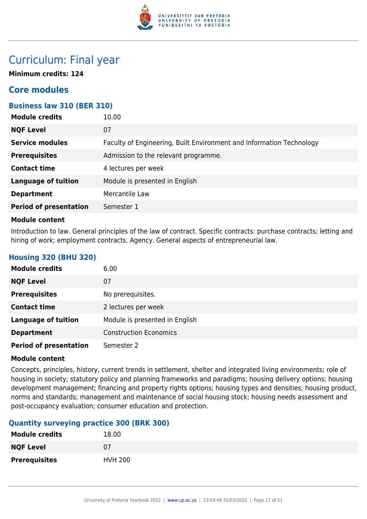

# Curriculum: Final year

**Minimum credits: 124**

# **Core modules**

# **Business law 310 (BER 310)**

| <b>Module credits</b>         | 10.00                                                                |
|-------------------------------|----------------------------------------------------------------------|
| <b>NQF Level</b>              | 07                                                                   |
| <b>Service modules</b>        | Faculty of Engineering, Built Environment and Information Technology |
| <b>Prerequisites</b>          | Admission to the relevant programme.                                 |
| <b>Contact time</b>           | 4 lectures per week                                                  |
| <b>Language of tuition</b>    | Module is presented in English                                       |
| <b>Department</b>             | Mercantile Law                                                       |
| <b>Period of presentation</b> | Semester 1                                                           |
|                               |                                                                      |

#### **Module content**

Introduction to law. General principles of the law of contract. Specific contracts: purchase contracts; letting and hiring of work; employment contracts. Agency. General aspects of entrepreneurial law.

# **Housing 320 (BHU 320)**

| <b>Module credits</b>         | 6.00                           |
|-------------------------------|--------------------------------|
| <b>NQF Level</b>              | 07                             |
| <b>Prerequisites</b>          | No prerequisites.              |
| <b>Contact time</b>           | 2 lectures per week            |
| <b>Language of tuition</b>    | Module is presented in English |
| <b>Department</b>             | <b>Construction Economics</b>  |
| <b>Period of presentation</b> | Semester 2                     |

#### **Module content**

Concepts, principles, history, current trends in settlement, shelter and integrated living environments; role of housing in society; statutory policy and planning frameworks and paradigms; housing delivery options; housing development management; financing and property rights options; housing types and densities; housing product, norms and standards; management and maintenance of social housing stock; housing needs assessment and post-occupancy evaluation; consumer education and protection.

# **Quantity surveying practice 300 (BRK 300)**

| <b>Module credits</b> | 18.00          |
|-----------------------|----------------|
| <b>NQF Level</b>      | 07             |
| <b>Prerequisites</b>  | <b>HVH 200</b> |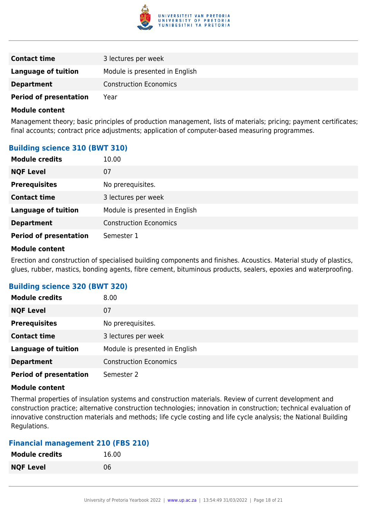

| <b>Contact time</b>           | 3 lectures per week            |
|-------------------------------|--------------------------------|
| Language of tuition           | Module is presented in English |
| <b>Department</b>             | <b>Construction Economics</b>  |
| <b>Period of presentation</b> | Year                           |

Management theory; basic principles of production management, lists of materials; pricing; payment certificates; final accounts; contract price adjustments; application of computer-based measuring programmes.

### **Building science 310 (BWT 310)**

| <b>Module credits</b>         | 10.00                          |
|-------------------------------|--------------------------------|
| <b>NQF Level</b>              | 07                             |
| <b>Prerequisites</b>          | No prerequisites.              |
| <b>Contact time</b>           | 3 lectures per week            |
| <b>Language of tuition</b>    | Module is presented in English |
| <b>Department</b>             | <b>Construction Economics</b>  |
| <b>Period of presentation</b> | Semester 1                     |

#### **Module content**

Erection and construction of specialised building components and finishes. Acoustics. Material study of plastics, glues, rubber, mastics, bonding agents, fibre cement, bituminous products, sealers, epoxies and waterproofing.

#### **Building science 320 (BWT 320)**

| <b>Module credits</b>         | 8.00                           |
|-------------------------------|--------------------------------|
| <b>NQF Level</b>              | 07                             |
| <b>Prerequisites</b>          | No prerequisites.              |
| <b>Contact time</b>           | 3 lectures per week            |
| <b>Language of tuition</b>    | Module is presented in English |
| <b>Department</b>             | <b>Construction Economics</b>  |
| <b>Period of presentation</b> | Semester 2                     |

#### **Module content**

Thermal properties of insulation systems and construction materials. Review of current development and construction practice; alternative construction technologies; innovation in construction; technical evaluation of innovative construction materials and methods; life cycle costing and life cycle analysis; the National Building Regulations.

# **Financial management 210 (FBS 210)**

| <b>Module credits</b> | 16.00 |
|-----------------------|-------|
| <b>NQF Level</b>      | 06    |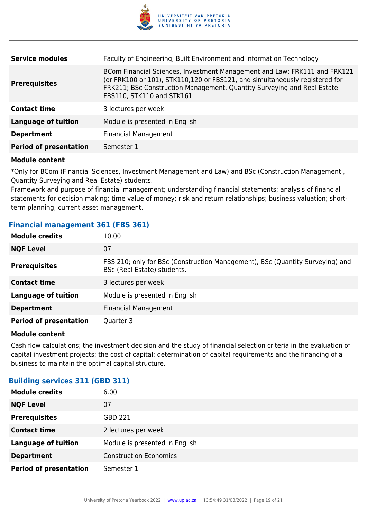

| <b>Service modules</b>        | Faculty of Engineering, Built Environment and Information Technology                                                                                                                                                                                              |
|-------------------------------|-------------------------------------------------------------------------------------------------------------------------------------------------------------------------------------------------------------------------------------------------------------------|
| <b>Prerequisites</b>          | BCom Financial Sciences, Investment Management and Law: FRK111 and FRK121<br>(or FRK100 or 101), STK110,120 or FBS121, and simultaneously registered for<br>FRK211; BSc Construction Management, Quantity Surveying and Real Estate:<br>FBS110, STK110 and STK161 |
| <b>Contact time</b>           | 3 lectures per week                                                                                                                                                                                                                                               |
| <b>Language of tuition</b>    | Module is presented in English                                                                                                                                                                                                                                    |
| <b>Department</b>             | <b>Financial Management</b>                                                                                                                                                                                                                                       |
| <b>Period of presentation</b> | Semester 1                                                                                                                                                                                                                                                        |
|                               |                                                                                                                                                                                                                                                                   |

\*Only for BCom (Financial Sciences, Investment Management and Law) and BSc (Construction Management , Quantity Surveying and Real Estate) students.

Framework and purpose of financial management; understanding financial statements; analysis of financial statements for decision making; time value of money; risk and return relationships; business valuation; shortterm planning; current asset management.

#### **Financial management 361 (FBS 361)**

| <b>Module credits</b>         | 10.00                                                                                                        |
|-------------------------------|--------------------------------------------------------------------------------------------------------------|
| <b>NQF Level</b>              | 07                                                                                                           |
| <b>Prerequisites</b>          | FBS 210; only for BSc (Construction Management), BSc (Quantity Surveying) and<br>BSc (Real Estate) students. |
| <b>Contact time</b>           | 3 lectures per week                                                                                          |
| <b>Language of tuition</b>    | Module is presented in English                                                                               |
| <b>Department</b>             | <b>Financial Management</b>                                                                                  |
| <b>Period of presentation</b> | Quarter 3                                                                                                    |

#### **Module content**

Cash flow calculations; the investment decision and the study of financial selection criteria in the evaluation of capital investment projects; the cost of capital; determination of capital requirements and the financing of a business to maintain the optimal capital structure.

# **Building services 311 (GBD 311)**

| <b>Module credits</b>         | 6.00                           |
|-------------------------------|--------------------------------|
| <b>NQF Level</b>              | 07                             |
| <b>Prerequisites</b>          | GBD 221                        |
| <b>Contact time</b>           | 2 lectures per week            |
| <b>Language of tuition</b>    | Module is presented in English |
| <b>Department</b>             | <b>Construction Economics</b>  |
| <b>Period of presentation</b> | Semester 1                     |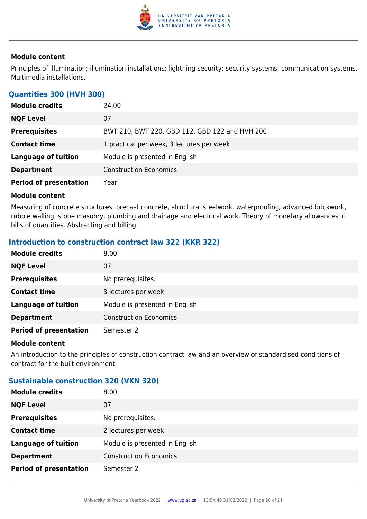

Principles of illumination; illumination installations; lightning security; security systems; communication systems. Multimedia installations.

# **Quantities 300 (HVH 300)**

| <b>Module credits</b>         | 24.00                                          |
|-------------------------------|------------------------------------------------|
| <b>NQF Level</b>              | 07                                             |
| <b>Prerequisites</b>          | BWT 210, BWT 220, GBD 112, GBD 122 and HVH 200 |
| <b>Contact time</b>           | 1 practical per week, 3 lectures per week      |
| <b>Language of tuition</b>    | Module is presented in English                 |
| <b>Department</b>             | <b>Construction Economics</b>                  |
| <b>Period of presentation</b> | Year                                           |

#### **Module content**

Measuring of concrete structures, precast concrete, structural steelwork, waterproofing, advanced brickwork, rubble walling, stone masonry, plumbing and drainage and electrical work. Theory of monetary allowances in bills of quantities. Abstracting and billing.

# **Introduction to construction contract law 322 (KKR 322)**

| <b>Module credits</b>         | 8.00                           |
|-------------------------------|--------------------------------|
| <b>NQF Level</b>              | 07                             |
| <b>Prerequisites</b>          | No prerequisites.              |
| <b>Contact time</b>           | 3 lectures per week            |
| <b>Language of tuition</b>    | Module is presented in English |
| <b>Department</b>             | <b>Construction Economics</b>  |
| <b>Period of presentation</b> | Semester 2                     |

#### **Module content**

An introduction to the principles of construction contract law and an overview of standardised conditions of contract for the built environment.

# **Sustainable construction 320 (VKN 320)**

| <b>Module credits</b>         | 8.00                           |
|-------------------------------|--------------------------------|
| <b>NQF Level</b>              | 07                             |
| <b>Prerequisites</b>          | No prerequisites.              |
| <b>Contact time</b>           | 2 lectures per week            |
| <b>Language of tuition</b>    | Module is presented in English |
| <b>Department</b>             | <b>Construction Economics</b>  |
| <b>Period of presentation</b> | Semester 2                     |